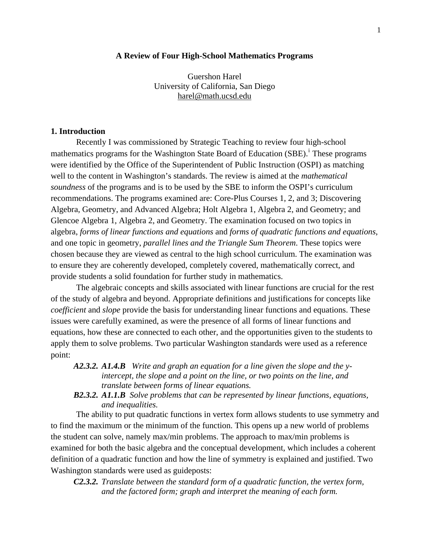### **A Review of Four High-School Mathematics Programs**

Guershon Harel University of California, San Diego [harel@math.ucsd.edu](mailto:harel@math.ucsd.edu)

# **1. Introduction**

Recently I was commissioned by Strategic Teaching to review four high-school mathemat[i](#page-23-0)cs programs for the Washington State Board of Education (SBE).<sup>i</sup> These programs were identified by the Office of the Superintendent of Public Instruction (OSPI) as matching well to the content in Washington's standards. The review is aimed at the *mathematical soundness* of the programs and is to be used by the SBE to inform the OSPI's curriculum recommendations. The programs examined are: Core-Plus Courses 1, 2, and 3; Discovering Algebra, Geometry, and Advanced Algebra; Holt Algebra 1, Algebra 2, and Geometry; and Glencoe Algebra 1, Algebra 2, and Geometry. The examination focused on two topics in algebra, *forms of linear functions and equations* and *forms of quadratic functions and equations*, and one topic in geometry, *parallel lines and the Triangle Sum Theorem*. These topics were chosen because they are viewed as central to the high school curriculum. The examination was to ensure they are coherently developed, completely covered, mathematically correct, and provide students a solid foundation for further study in mathematics.

The algebraic concepts and skills associated with linear functions are crucial for the rest of the study of algebra and beyond. Appropriate definitions and justifications for concepts like *coefficient* and *slope* provide the basis for understanding linear functions and equations. These issues were carefully examined, as were the presence of all forms of linear functions and equations, how these are connected to each other, and the opportunities given to the students to apply them to solve problems. Two particular Washington standards were used as a reference point:

- *A2.3.2. A1.4.B Write and graph an equation for a line given the slope and the yintercept, the slope and a point on the line, or two points on the line, and translate between forms of linear equations.*
- *B2.3.2. A1.1.B Solve problems that can be represented by linear functions, equations, and inequalities.*

The ability to put quadratic functions in vertex form allows students to use symmetry and to find the maximum or the minimum of the function. This opens up a new world of problems the student can solve, namely max/min problems. The approach to max/min problems is examined for both the basic algebra and the conceptual development, which includes a coherent definition of a quadratic function and how the line of symmetry is explained and justified. Two Washington standards were used as guideposts:

*C2.3.2. Translate between the standard form of a quadratic function, the vertex form, and the factored form; graph and interpret the meaning of each form.*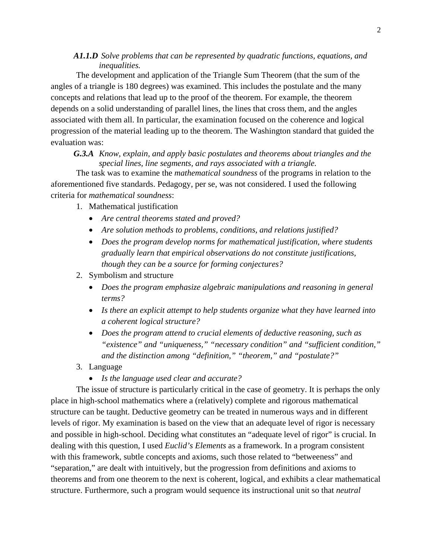# *A1.1.D Solve problems that can be represented by quadratic functions, equations, and inequalities.*

The development and application of the Triangle Sum Theorem (that the sum of the angles of a triangle is 180 degrees) was examined. This includes the postulate and the many concepts and relations that lead up to the proof of the theorem. For example, the theorem depends on a solid understanding of parallel lines, the lines that cross them, and the angles associated with them all. In particular, the examination focused on the coherence and logical progression of the material leading up to the theorem. The Washington standard that guided the evaluation was:

*G.3.A Know, explain, and apply basic postulates and theorems about triangles and the special lines, line segments, and rays associated with a triangle.* 

The task was to examine the *mathematical soundness* of the programs in relation to the aforementioned five standards. Pedagogy, per se, was not considered. I used the following criteria for *mathematical soundness*:

- 1. Mathematical justification
	- *Are central theorems stated and proved?*
	- *Are solution methods to problems, conditions, and relations justified?*
	- *Does the program develop norms for mathematical justification, where students gradually learn that empirical observations do not constitute justifications, though they can be a source for forming conjectures?*
- 2. Symbolism and structure
	- *Does the program emphasize algebraic manipulations and reasoning in general terms?*
	- *Is there an explicit attempt to help students organize what they have learned into a coherent logical structure?*
	- *Does the program attend to crucial elements of deductive reasoning, such as "existence" and "uniqueness," "necessary condition" and "sufficient condition," and the distinction among "definition," "theorem," and "postulate?"*
- 3. Language
	- *Is the language used clear and accurate?*

The issue of structure is particularly critical in the case of geometry. It is perhaps the only place in high-school mathematics where a (relatively) complete and rigorous mathematical structure can be taught. Deductive geometry can be treated in numerous ways and in different levels of rigor. My examination is based on the view that an adequate level of rigor is necessary and possible in high-school. Deciding what constitutes an "adequate level of rigor" is crucial. In dealing with this question, I used *Euclid's Elements* as a framework. In a program consistent with this framework, subtle concepts and axioms, such those related to "betweeness" and "separation," are dealt with intuitively, but the progression from definitions and axioms to theorems and from one theorem to the next is coherent, logical, and exhibits a clear mathematical structure. Furthermore, such a program would sequence its instructional unit so that *neutral*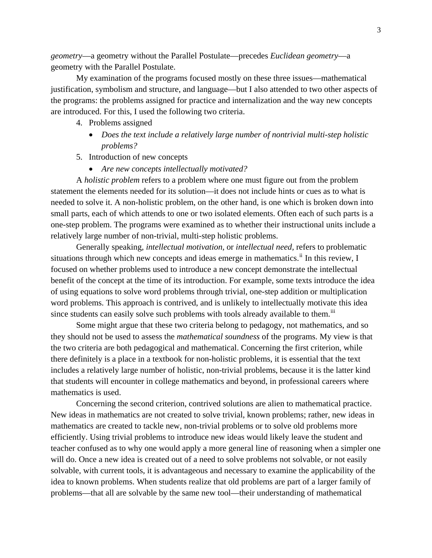*geometry*—a geometry without the Parallel Postulate—precedes *Euclidean geometry*—a geometry with the Parallel Postulate.

My examination of the programs focused mostly on these three issues—mathematical justification, symbolism and structure, and language—but I also attended to two other aspects of the programs: the problems assigned for practice and internalization and the way new concepts are introduced. For this, I used the following two criteria.

- 4. Problems assigned
	- *Does the text include a relatively large number of nontrivial multi-step holistic problems?*
- 5. Introduction of new concepts
	- *Are new concepts intellectually motivated?*

A *holistic problem* refers to a problem where one must figure out from the problem statement the elements needed for its solution—it does not include hints or cues as to what is needed to solve it. A non-holistic problem, on the other hand, is one which is broken down into small parts, each of which attends to one or two isolated elements. Often each of such parts is a one-step problem. The programs were examined as to whether their instructional units include a relatively large number of non-trivial, multi-step holistic problems.

Generally speaking, *intellectual motivation,* or *intellectual need,* refers to problematic situations through which new concepts and ideas emerge in mathematics.<sup>[ii](#page-23-1)</sup> In this review, I focused on whether problems used to introduce a new concept demonstrate the intellectual benefit of the concept at the time of its introduction. For example, some texts introduce the idea of using equations to solve word problems through trivial, one-step addition or multiplication word problems. This approach is contrived, and is unlikely to intellectually motivate this idea since students can easily solve such problems with tools already available to them.<sup>[iii](#page-23-2)</sup>

Some might argue that these two criteria belong to pedagogy, not mathematics, and so they should not be used to assess the *mathematical soundness* of the programs. My view is that the two criteria are both pedagogical and mathematical. Concerning the first criterion, while there definitely is a place in a textbook for non-holistic problems, it is essential that the text includes a relatively large number of holistic, non-trivial problems, because it is the latter kind that students will encounter in college mathematics and beyond, in professional careers where mathematics is used.

Concerning the second criterion, contrived solutions are alien to mathematical practice. New ideas in mathematics are not created to solve trivial, known problems; rather, new ideas in mathematics are created to tackle new, non-trivial problems or to solve old problems more efficiently. Using trivial problems to introduce new ideas would likely leave the student and teacher confused as to why one would apply a more general line of reasoning when a simpler one will do. Once a new idea is created out of a need to solve problems not solvable, or not easily solvable, with current tools, it is advantageous and necessary to examine the applicability of the idea to known problems. When students realize that old problems are part of a larger family of problems—that all are solvable by the same new tool—their understanding of mathematical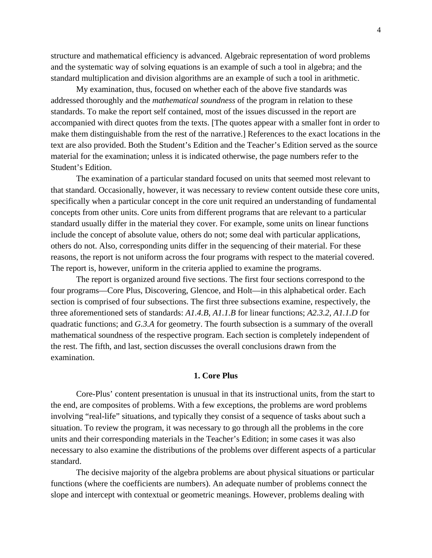structure and mathematical efficiency is advanced. Algebraic representation of word problems and the systematic way of solving equations is an example of such a tool in algebra; and the standard multiplication and division algorithms are an example of such a tool in arithmetic.

My examination, thus, focused on whether each of the above five standards was addressed thoroughly and the *mathematical soundness* of the program in relation to these standards. To make the report self contained, most of the issues discussed in the report are accompanied with direct quotes from the texts. [The quotes appear with a smaller font in order to make them distinguishable from the rest of the narrative.] References to the exact locations in the text are also provided. Both the Student's Edition and the Teacher's Edition served as the source material for the examination; unless it is indicated otherwise, the page numbers refer to the Student's Edition.

The examination of a particular standard focused on units that seemed most relevant to that standard. Occasionally, however, it was necessary to review content outside these core units, specifically when a particular concept in the core unit required an understanding of fundamental concepts from other units. Core units from different programs that are relevant to a particular standard usually differ in the material they cover. For example, some units on linear functions include the concept of absolute value, others do not; some deal with particular applications, others do not. Also, corresponding units differ in the sequencing of their material. For these reasons, the report is not uniform across the four programs with respect to the material covered. The report is, however, uniform in the criteria applied to examine the programs.

The report is organized around five sections. The first four sections correspond to the four programs—Core Plus, Discovering, Glencoe, and Holt—in this alphabetical order. Each section is comprised of four subsections. The first three subsections examine, respectively, the three aforementioned sets of standards: *A1.4.B, A1.1.B* for linear functions; *A2.3.2, A1.1.D* for quadratic functions; and *G.3.A* for geometry. The fourth subsection is a summary of the overall mathematical soundness of the respective program. Each section is completely independent of the rest. The fifth, and last, section discusses the overall conclusions drawn from the examination.

# **1. Core Plus**

Core-Plus' content presentation is unusual in that its instructional units, from the start to the end, are composites of problems. With a few exceptions, the problems are word problems involving "real-life" situations, and typically they consist of a sequence of tasks about such a situation. To review the program, it was necessary to go through all the problems in the core units and their corresponding materials in the Teacher's Edition; in some cases it was also necessary to also examine the distributions of the problems over different aspects of a particular standard.

The decisive majority of the algebra problems are about physical situations or particular functions (where the coefficients are numbers). An adequate number of problems connect the slope and intercept with contextual or geometric meanings. However, problems dealing with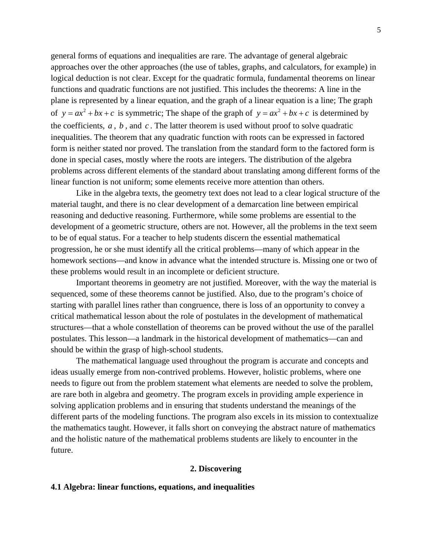general forms of equations and inequalities are rare. The advantage of general algebraic approaches over the other approaches (the use of tables, graphs, and calculators, for example) in logical deduction is not clear. Except for the quadratic formula, fundamental theorems on linear functions and quadratic functions are not justified. This includes the theorems: A line in the plane is represented by a linear equation, and the graph of a linear equation is a line; The graph of  $y = ax^2 + bx + c$  is symmetric; The shape of the graph of  $y = ax^2 + bx + c$  is determined by the coefficients,  $a$ ,  $b$ , and  $c$ . The latter theorem is used without proof to solve quadratic inequalities. The theorem that any quadratic function with roots can be expressed in factored form is neither stated nor proved. The translation from the standard form to the factored form is done in special cases, mostly where the roots are integers. The distribution of the algebra problems across different elements of the standard about translating among different forms of the linear function is not uniform; some elements receive more attention than others.

Like in the algebra texts, the geometry text does not lead to a clear logical structure of the material taught, and there is no clear development of a demarcation line between empirical reasoning and deductive reasoning. Furthermore, while some problems are essential to the development of a geometric structure, others are not. However, all the problems in the text seem to be of equal status. For a teacher to help students discern the essential mathematical progression, he or she must identify all the critical problems—many of which appear in the homework sections—and know in advance what the intended structure is. Missing one or two of these problems would result in an incomplete or deficient structure.

Important theorems in geometry are not justified. Moreover, with the way the material is sequenced, some of these theorems cannot be justified. Also, due to the program's choice of starting with parallel lines rather than congruence, there is loss of an opportunity to convey a critical mathematical lesson about the role of postulates in the development of mathematical structures—that a whole constellation of theorems can be proved without the use of the parallel postulates. This lesson—a landmark in the historical development of mathematics—can and should be within the grasp of high-school students.

The mathematical language used throughout the program is accurate and concepts and ideas usually emerge from non-contrived problems. However, holistic problems, where one needs to figure out from the problem statement what elements are needed to solve the problem, are rare both in algebra and geometry. The program excels in providing ample experience in solving application problems and in ensuring that students understand the meanings of the different parts of the modeling functions. The program also excels in its mission to contextualize the mathematics taught. However, it falls short on conveying the abstract nature of mathematics and the holistic nature of the mathematical problems students are likely to encounter in the future.

#### **2. Discovering**

#### **4.1 Algebra: linear functions, equations, and inequalities**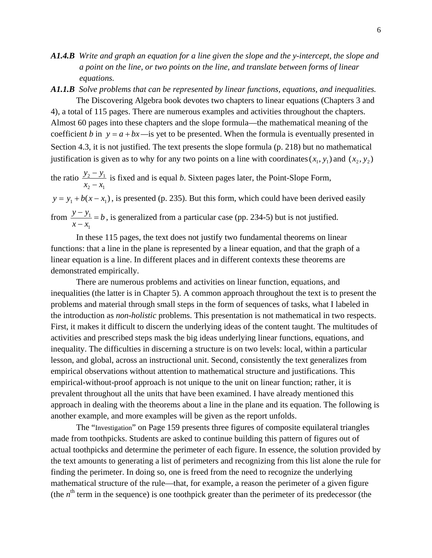- *A1.4.B Write and graph an equation for a line given the slope and the y-intercept, the slope and a point on the line, or two points on the line, and translate between forms of linear equations.*
- *A1.1.B Solve problems that can be represented by linear functions, equations, and inequalities.* The Discovering Algebra book devotes two chapters to linear equations (Chapters 3 and

4), a total of 115 pages. There are numerous examples and activities throughout the chapters. Almost 60 pages into these chapters and the slope formula—the mathematical meaning of the coefficient *b* in  $y = a + bx$  —is yet to be presented. When the formula is eventually presented in Section 4.3, it is not justified. The text presents the slope formula (p. 218) but no mathematical justification is given as to why for any two points on a line with coordinates  $(x_1, y_1)$  and  $(x_2, y_2)$ 

the ratio  $\frac{y_2 - y_1}{x_2 - x_1}$ 2  $\lambda_1$  $y_2 - y$  $x_2 - x$  $\frac{-y_1}{-x_1}$  is fixed and is equal *b*. Sixteen pages later, the Point-Slope Form,  $y = y_1 + b(x - x_1)$ , is presented (p. 235). But this form, which could have been derived easily from  $\frac{y - y_1}{y}$  $x - x$  $\frac{-y_1}{y_2} = b$ , is generalized from a particular case (pp. 234-5) but is not justified.  $\frac{y_1}{-x_1} = b$ , is gen

In these 115 pages, the text does not justify two fundamental theorems on linear functions: that a line in the plane is represented by a linear equation, and that the graph of a linear equation is a line. In different places and in different contexts these theorems are demonstrated empirically.

There are numerous problems and activities on linear function, equations, and inequalities (the latter is in Chapter 5). A common approach throughout the text is to present the problems and material through small steps in the form of sequences of tasks, what I labeled in the introduction as *non-holistic* problems. This presentation is not mathematical in two respects. First, it makes it difficult to discern the underlying ideas of the content taught. The multitudes of activities and prescribed steps mask the big ideas underlying linear functions, equations, and inequality. The difficulties in discerning a structure is on two levels: local, within a particular lesson, and global, across an instructional unit. Second, consistently the text generalizes from empirical observations without attention to mathematical structure and justifications. This empirical-without-proof approach is not unique to the unit on linear function; rather, it is prevalent throughout all the units that have been examined. I have already mentioned this approach in dealing with the theorems about a line in the plane and its equation. The following is another example, and more examples will be given as the report unfolds.

The "Investigation" on Page 159 presents three figures of composite equilateral triangles made from toothpicks. Students are asked to continue building this pattern of figures out of actual toothpicks and determine the perimeter of each figure. In essence, the solution provided by the text amounts to generating a list of perimeters and recognizing from this list alone the rule for finding the perimeter. In doing so, one is freed from the need to recognize the underlying mathematical structure of the rule—that, for example, a reason the perimeter of a given figure (the  $n<sup>th</sup>$  term in the sequence) is one toothpick greater than the perimeter of its predecessor (the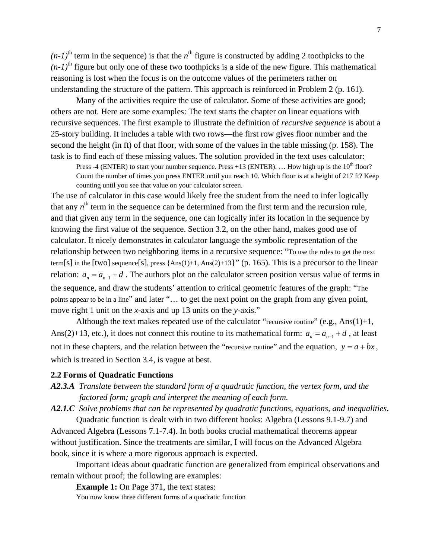$(n-1)$ <sup>th</sup> term in the sequence) is that the *n*<sup>th</sup> figure is constructed by adding 2 toothpicks to the  $(n-1)$ <sup>th</sup> figure but only one of these two toothpicks is a side of the new figure. This mathematical reasoning is lost when the focus is on the outcome values of the perimeters rather on understanding the structure of the pattern. This approach is reinforced in Problem 2 (p. 161).

Many of the activities require the use of calculator. Some of these activities are good; others are not. Here are some examples: The text starts the chapter on linear equations with recursive sequences. The first example to illustrate the definition of *recursive sequence* is about a 25-story building. It includes a table with two rows—the first row gives floor number and the second the height (in ft) of that floor, with some of the values in the table missing (p. 158). The task is to find each of these missing values. The solution provided in the text uses calculator:

Press -4 (ENTER) to start your number sequence. Press +13 (ENTER). ... How high up is the  $10^{th}$  floor? Count the number of times you press ENTER until you reach 10. Which floor is at a height of 217 ft? Keep counting until you see that value on your calculator screen.

The use of calculator in this case would likely free the student from the need to infer logically that any  $n<sup>th</sup>$  term in the sequence can be determined from the first term and the recursion rule, and that given any term in the sequence, one can logically infer its location in the sequence by knowing the first value of the sequence. Section 3.2, on the other hand, makes good use of calculator. It nicely demonstrates in calculator language the symbolic representation of the relationship between two neighboring items in a recursive sequence: "To use the rules to get the next term[s] in the [two] sequence[s], press {Ans(1)+1, Ans(2)+13}" (p. 165). This is a precursor to the linear relation:  $a_n = a_{n-1} + d$ . The authors plot on the calculator screen position versus value of terms in the sequence, and draw the students' attention to critical geometric features of the graph: "The points appear to be in a line" and later "… to get the next point on the graph from any given point, move right 1 unit on the *x*-axis and up 13 units on the *y*-axis."

Although the text makes repeated use of the calculator "recursive routine" (e.g.,  $Ans(1)+1$ , Ans(2)+13, etc.), it does not connect this routine to its mathematical form:  $a_n = a_{n-1} + d$ , at least not in these chapters, and the relation between the "recursive routine" and the equation,  $y = a + bx$ , which is treated in Section 3.4, is vague at best.

#### **2.2 Forms of Quadratic Functions**

- *A2.3.A Translate between the standard form of a quadratic function, the vertex form, and the factored form; graph and interpret the meaning of each form.*
- *A2.1.C Solve problems that can be represented by quadratic functions, equations, and inequalities*.

Quadratic function is dealt with in two different books: Algebra (Lessons 9.1-9.7) and Advanced Algebra (Lessons 7.1-7.4). In both books crucial mathematical theorems appear without justification. Since the treatments are similar, I will focus on the Advanced Algebra book, since it is where a more rigorous approach is expected.

Important ideas about quadratic function are generalized from empirical observations and remain without proof; the following are examples:

**Example 1:** On Page 371, the text states:

You now know three different forms of a quadratic function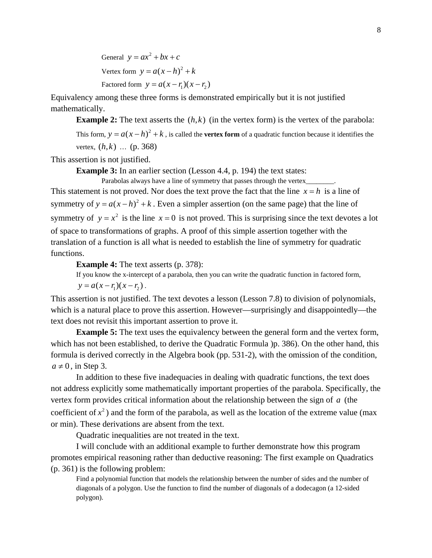General  $y = ax^2 + bx + c$ Vertex form  $y = a(x - h)^2 + k$ Factored form  $y = a(x - r_1)(x - r_2)$ 

Equivalency among these three forms is demonstrated empirically but it is not justified mathematically.

**Example 2:** The text asserts the  $(h, k)$  (in the vertex form) is the vertex of the parabola: This form,  $y = a(x - h)^2 + k$ , is called the **vertex form** of a quadratic function because it identifies the vertex,  $(h, k)$  ... (p. 368)

This assertion is not justified.

**Example 3:** In an earlier section (Lesson 4.4, p. 194) the text states:

Parabolas always have a line of symmetry that passes through the vertex\_\_\_\_\_\_\_\_. This statement is not proved. Nor does the text prove the fact that the line  $x = h$  is a line of symmetry of  $y = a(x-h)^2 + k$ . Even a simpler assertion (on the same page) that the line of symmetry of  $y = x^2$  is the line  $x = 0$  is not proved. This is surprising since the text devotes a lot of space to transformations of graphs. A proof of this simple assertion together with the translation of a function is all what is needed to establish the line of symmetry for quadratic functions.

**Example 4:** The text asserts (p. 378):

If you know the x-intercept of a parabola, then you can write the quadratic function in factored form,

 $y = a(x - r_1)(x - r_2)$ .

This assertion is not justified. The text devotes a lesson (Lesson 7.8) to division of polynomials, which is a natural place to prove this assertion. However—surprisingly and disappointedly—the text does not revisit this important assertion to prove it.

**Example 5:** The text uses the equivalency between the general form and the vertex form, which has not been established, to derive the Quadratic Formula )p. 386). On the other hand, this formula is derived correctly in the Algebra book (pp. 531-2), with the omission of the condition,  $a \neq 0$ , in Step 3.

In addition to these five inadequacies in dealing with quadratic functions, the text does not address explicitly some mathematically important properties of the parabola. Specifically, the vertex form provides critical information about the relationship between the sign of *a* (the coefficient of  $x^2$ ) and the form of the parabola, as well as the location of the extreme value (max or min). These derivations are absent from the text.

Quadratic inequalities are not treated in the text.

I will conclude with an additional example to further demonstrate how this program promotes empirical reasoning rather than deductive reasoning: The first example on Quadratics (p. 361) is the following problem:

Find a polynomial function that models the relationship between the number of sides and the number of diagonals of a polygon. Use the function to find the number of diagonals of a dodecagon (a 12-sided polygon).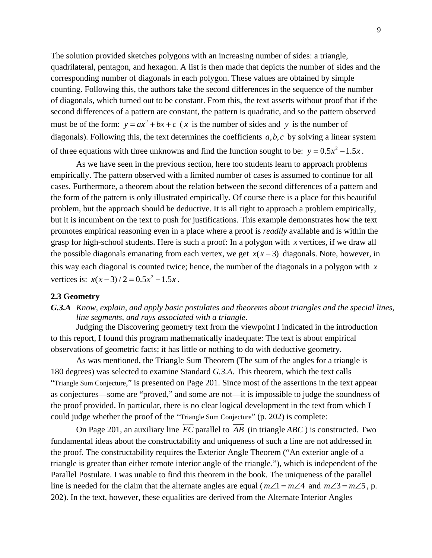The solution provided sketches polygons with an increasing number of sides: a triangle, quadrilateral, pentagon, and hexagon. A list is then made that depicts the number of sides and the corresponding number of diagonals in each polygon. These values are obtained by simple counting. Following this, the authors take the second differences in the sequence of the number of diagonals, which turned out to be constant. From this, the text asserts without proof that if the second differences of a pattern are constant, the pattern is quadratic, and so the pattern observed must be of the form:  $y = ax^2 + bx + c$  (*x* is the number of sides and *y* is the number of diagonals). Following this, the text determines the coefficients  $a, b, c$  by solving a linear system of three equations with three unknowns and find the function sought to be:  $y = 0.5x^2 - 1.5x$ .

As we have seen in the previous section, here too students learn to approach problems empirically. The pattern observed with a limited number of cases is assumed to continue for all cases. Furthermore, a theorem about the relation between the second differences of a pattern and the form of the pattern is only illustrated empirically. Of course there is a place for this beautiful problem, but the approach should be deductive. It is all right to approach a problem empirically, but it is incumbent on the text to push for justifications. This example demonstrates how the text promotes empirical reasoning even in a place where a proof is *readily* available and is within the grasp for high-school students. Here is such a proof: In a polygon with *x* vertices, if we draw all the possible diagonals emanating from each vertex, we get  $x(x-3)$  diagonals. Note, however, in this way each diagonal is counted twice; hence, the number of the diagonals in a polygon with *x* vertices is:  $x(x-3)/2 = 0.5x^2 - 1.5x$ .

### **2.3 Geometry**

*G.3.A Know, explain, and apply basic postulates and theorems about triangles and the special lines, line segments, and rays associated with a triangle*.

Judging the Discovering geometry text from the viewpoint I indicated in the introduction to this report, I found this program mathematically inadequate: The text is about empirical observations of geometric facts; it has little or nothing to do with deductive geometry.

As was mentioned, the Triangle Sum Theorem (The sum of the angles for a triangle is 180 degrees) was selected to examine Standard *G.3.A*. This theorem, which the text calls "Triangle Sum Conjecture," is presented on Page 201. Since most of the assertions in the text appear as conjectures—some are "proved," and some are not—it is impossible to judge the soundness of the proof provided. In particular, there is no clear logical development in the text from which I could judge whether the proof of the "Triangle Sum Conjecture" (p. 202) is complete:

On Page 201, an auxiliary line  $\overrightarrow{EC}$  parallel to  $\overrightarrow{AB}$  (in triangle *ABC*) is constructed. Two line is needed for the claim that the alternate angles are equal ( $m\angle 1 = m\angle 4$  and  $m\angle 3 = m\angle 5$ , p. fundamental ideas about the constructability and uniqueness of such a line are not addressed in the proof. The constructability requires the Exterior Angle Theorem ("An exterior angle of a triangle is greater than either remote interior angle of the triangle."), which is independent of the Parallel Postulate. I was unable to find this theorem in the book. The uniqueness of the parallel 202). In the text, however, these equalities are derived from the Alternate Interior Angles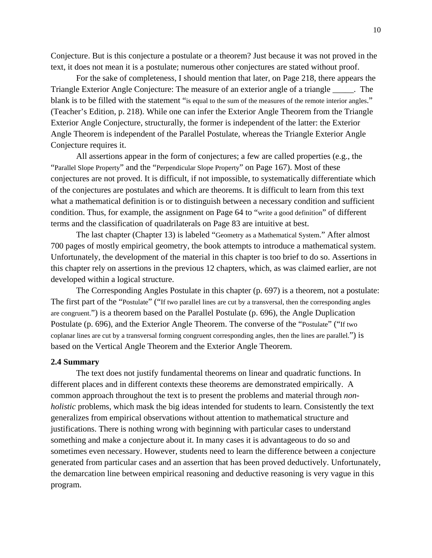Conjecture. But is this conjecture a postulate or a theorem? Just because it was not proved in the text, it does not mean it is a postulate; numerous other conjectures are stated without proof.

For the sake of completeness, I should mention that later, on Page 218, there appears the Triangle Exterior Angle Conjecture: The measure of an exterior angle of a triangle \_\_\_\_\_. The blank is to be filled with the statement "is equal to the sum of the measures of the remote interior angles." (Teacher's Edition, p. 218). While one can infer the Exterior Angle Theorem from the Triangle Exterior Angle Conjecture, structurally, the former is independent of the latter: the Exterior Angle Theorem is independent of the Parallel Postulate, whereas the Triangle Exterior Angle Conjecture requires it.

All assertions appear in the form of conjectures; a few are called properties (e.g., the "Parallel Slope Property" and the "Perpendicular Slope Property" on Page 167). Most of these conjectures are not proved. It is difficult, if not impossible, to systematically differentiate which of the conjectures are postulates and which are theorems. It is difficult to learn from this text what a mathematical definition is or to distinguish between a necessary condition and sufficient condition. Thus, for example, the assignment on Page 64 to "write a good definition" of different terms and the classification of quadrilaterals on Page 83 are intuitive at best.

The last chapter (Chapter 13) is labeled "Geometry as a Mathematical System." After almost 700 pages of mostly empirical geometry, the book attempts to introduce a mathematical system. Unfortunately, the development of the material in this chapter is too brief to do so. Assertions in this chapter rely on assertions in the previous 12 chapters, which, as was claimed earlier, are not developed within a logical structure.

The Corresponding Angles Postulate in this chapter (p. 697) is a theorem, not a postulate: The first part of the "Postulate" ("If two parallel lines are cut by a transversal, then the corresponding angles are congruent.") is a theorem based on the Parallel Postulate (p. 696), the Angle Duplication Postulate (p. 696), and the Exterior Angle Theorem. The converse of the "Postulate" ("If two coplanar lines are cut by a transversal forming congruent corresponding angles, then the lines are parallel.") is based on the Vertical Angle Theorem and the Exterior Angle Theorem.

### **2.4 Summary**

The text does not justify fundamental theorems on linear and quadratic functions. In different places and in different contexts these theorems are demonstrated empirically. A common approach throughout the text is to present the problems and material through *nonholistic* problems, which mask the big ideas intended for students to learn. Consistently the text generalizes from empirical observations without attention to mathematical structure and justifications. There is nothing wrong with beginning with particular cases to understand something and make a conjecture about it. In many cases it is advantageous to do so and sometimes even necessary. However, students need to learn the difference between a conjecture generated from particular cases and an assertion that has been proved deductively. Unfortunately, the demarcation line between empirical reasoning and deductive reasoning is very vague in this program.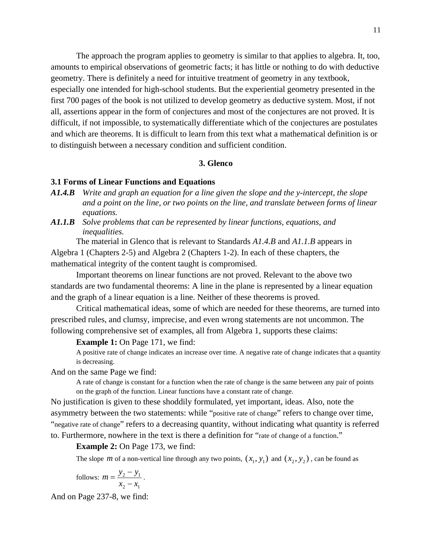The approach the program applies to geometry is similar to that applies to algebra. It, too, amounts to empirical observations of geometric facts; it has little or nothing to do with deductive geometry. There is definitely a need for intuitive treatment of geometry in any textbook, especially one intended for high-school students. But the experiential geometry presented in the first 700 pages of the book is not utilized to develop geometry as deductive system. Most, if not all, assertions appear in the form of conjectures and most of the conjectures are not proved. It is difficult, if not impossible, to systematically differentiate which of the conjectures are postulates and which are theorems. It is difficult to learn from this text what a mathematical definition is or to distinguish between a necessary condition and sufficient condition.

## **3. Glenco**

### **3.1 Forms of Linear Functions and Equations**

- *A1.4.B Write and graph an equation for a line given the slope and the y-intercept, the slope*  and a point on the line, or two points on the line, and translate between forms of linear *equations.*
- *A1.1.B Solve problems that can be represented by linear functions, equations, and inequalities.*

The material in Glenco that is relevant to Standards *A1.4.B* and *A1.1.B* appears in Algebra 1 (Chapters 2-5) and Algebra 2 (Chapters 1-2). In each of these chapters, the mathem atical integrity of the content taught is compromised.

standards are two fundamental theorems: A line in the plane is represented by a linear equation and the graph of a linear equation is a line. Neither of these theorems is proved. Important theorems on linear functions are not proved. Relevant to the above two

Critical mathematical ideas, some of which are needed for these theorems, are turned into following comprehensive set of examples, all from Algebra 1, supports these claims: prescribed rules, and clumsy, imprecise, and even wrong statements are not uncommon. The

#### **Example 1:** On Page 171, we find:

A positive rate of change indicates an increase over time. A negative rate of change indicates that a quantity is decreasing.

And on the same Page we find:

A rate of change is constant for a function when the rate of change is the same between any pair of points on the graph of the function. Linear functions have a constant rate of change.

"negative rate of change" refers to a decreasing quantity, without indicating what quantity is referred to. Furthermore, nowhere in the text is there a definition for "rate of change of a function." No justification is given to these shoddily formulated, yet important, ideas. Also, note the asymmetry between the two statements: while "positive rate of change" refers to change over time,

**Example 2:** On Page 173, we find:

The slope *m* of a non-vertical line through any two points,  $(x_1, y_1)$  and  $(x_2, y_2)$ , can be found as

follows: 
$$
m = \frac{y_2 - y_1}{x_2 - x_1}
$$
.

And on Page 237-8, we find: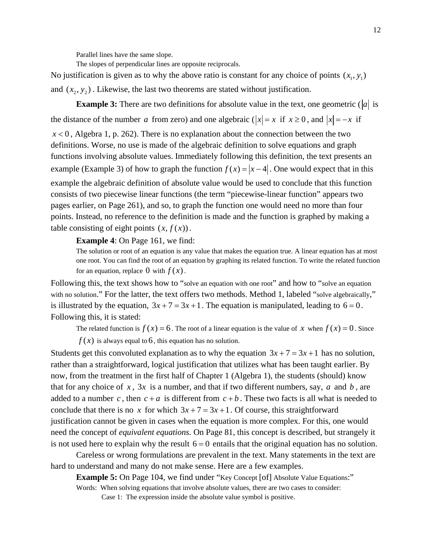Parallel lines have the same slope.

The slopes of perpendicular lines are opposite reciprocals.

No justification is given as to why the above ratio is constant for any choice of points  $(x_1, y_1)$ and  $(x_2, y_2)$ . Likewise, the last two theorems are stated without justification.

**Example 3:** There are two definitions for absolute value in the text, one geometric ( $|a|$  is the distance of the number *a* from zero) and one algebraic ( $|x| = x$  if  $x \ge 0$ , and  $|x| = -x$  if  $x < 0$ , Algebra 1, p. 262). There is no explanation about the connection between the two definitions. Worse, no use is made of the algebraic definition to solve equations and graph functions involving absolute values. Immediately following this definition, the text presents an example (Example 3) of how to graph the function  $f(x) = |x-4|$ . One would expect that in this example the algebraic definition of absolute value would be used to conclude that this functio n consists of two piecewise linear functions (the term "piecewise-linear function" appears two pages earlier, on Page 261), and so, to graph the function one would need no more than four points. Instead, no reference to the definition is made and the function is graphed by making a table consisting of eight points  $(x, f(x))$ .

**Example 4**: On Page 161, we find:

The solution or root of an equation is any value that makes the equation true. A linear equation has at most one root. You can find the root of an equation by graphing its related function. To write the related function for an equation, replace  $\theta$  with  $f(x)$ .

Following this, the text shows how to "solve an equation with one root" and how to "solve an equation" with no solution." For the latter, the text offers two methods. Method 1, labeled "solve algebraically," is illustrated by the equation,  $3x + 7 = 3x + 1$ . The equation is manipulated, leading to  $6 = 0$ . Follow ing this, it is stated:

The related function is  $f(x) = 6$ . The root of a linear equation is the value of x when  $f(x) = 0$ . Since

 $f(x)$  is always equal to 6, this equation has no solution.

Students get this convoluted explanation as to why the equation  $3x + 7 = 3x + 1$  has no solution, rather than a straightforward, logical justification that utilizes what has been taught earlier. By now, from the treatment in the first half of Chapter 1 (Algebra 1), the students (should) know that for any choice of  $x$ ,  $3x$  is a number, and that if two different numbers, say,  $a$  and  $b$ , are added to a number c, then  $c + a$  is different from  $c + b$ . These two facts is all what is needed to conclude that there is no x for which  $3x + 7 = 3x + 1$ . Of course, this straightforward justification cannot be given in cases when the equation is more complex. For this, one would need the concept of *equivalent equations.* On Page 81, this concept is described, but strangely it is not used here to explain why the result  $6 = 0$  entails that the original equation has no solution.

Careless or wrong formulations are prevalent in the text. Many statements in the text are hard to understand and many do not make sense. Here are a few examples.

**Example 5:** On Page 104, we find under "Key Concept [of] Absolute Value Equations:"

Words: When solving equations that involve absolute values, there are two cases to consider:

Case 1: The expression inside the absolute value symbol is positive.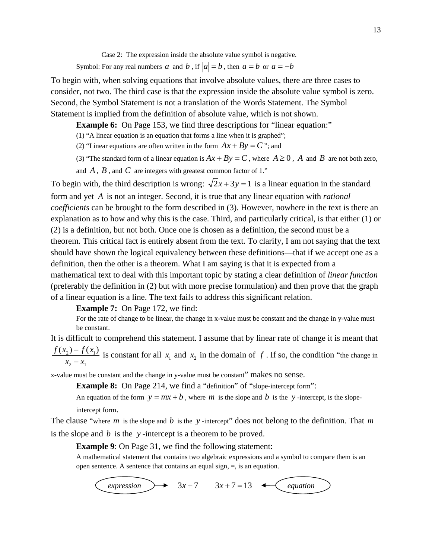Case 2: The expression inside the absolute value symbol is negative.

Symbol: For any real numbers *a* and *b*, if  $|a| = b$ , then  $a = b$  or  $a = -b$ 

To begin with, when solving equations that involve absolute values, there are three cases to consider, not two. The third case is that the expression inside the absolute value symbol i s zero. Second, the Symbol Statement is not a translation of the Words Statement. The Symbol Statem ent is implied from the definition of absolute value, which is not shown.

**Example 6:** On Page 153, we find three descriptions for "linear equation:"

 $(1)$  "A linear equation is an equation that forms a line when it is graphed";

- (2) "Linear equations are often written in the form  $Ax + By = C$ "; and
- (3) "The standard form of a linear equation is  $Ax + By = C$ , where  $A \ge 0$ , *A* and *B* are not both zero,

and  $A$ ,  $B$ , and  $C$  are integers with greatest common factor of 1."

To begin with, the third description is wrong:  $\sqrt{2x+3y} = 1$  is a linear equation in the standard form and yet *A* is not an integer. Second, it is true that any linear equation with *rational coefficients* can be brought to the form described in (3). However, nowhere in the text is there an explanation as to how and why this is the case. Third, and particularly critical, is that either (1) or (2) is a definition, but not both. Once one is chosen as a definition, the second must be a theorem. This critical fact is entirely absent from the text. To clarify, I am not saying that the text should have shown the logical equivalency between these definitions—that if we acce pt one as a definition, then the other is a theorem. What I am saying is that it is expected from a mathematical text to deal with this important topic by stating a clear definition of *linear function* (preferably the definition in (2) but with more precise formulation) and then pr ove that the graph of a linear equation is a line. The text fails to address this significant relation.

**Example 7:** On Page 172, we find:

For the rate of change to be linear, the change in x-value must be constant and the change in y-value must be constant.

It is difficult to comprehend this statement. I assume that by linear rate of change it is meant that 2)  $J \Lambda_1$  $2 - \lambda_1$  $\frac{f(x_2) - f(x_1)}{x_2 - x_1}$  is constant for all  $x_1$  and  $x_2$  in the domain of *f*. If so, the condition "the change in

x-value m ust be constant and the change in y-value must be constant" makes no sense.

**Example 8:** On Page 214, we find a "definition" of "slope-intercept form":

An equation of the form  $y = mx + b$ , where *m* is the slope and *b* is the *y*-intercept, is the slopeintercept form.

The clause "where  $m$  is the slope and  $b$  is the  $y$ -intercept" does not belong to the definition. That  $m$ is the s lope and *b* is the *y* -intercept is a theorem to be proved.

**Example 9:** On Page 31, we find the following statement:

A mathematical statement that contains two algebraic expressions and a symbol to compare them is an open sentence. A sentence that contains an equal sign,  $=$ , is an equation.

 $expression \rightarrow 3x+7 \rightarrow 3x+7=13 \leftarrow$  equation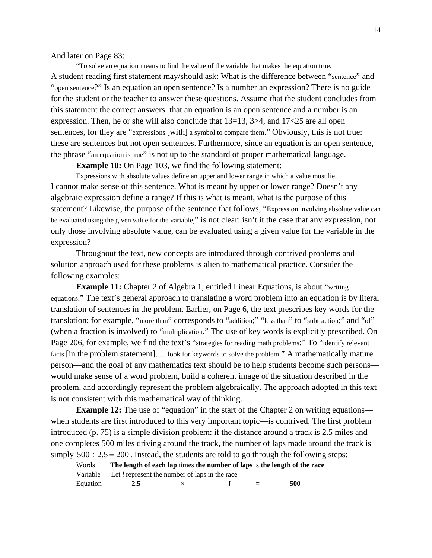And lat er on Page 83:

for the student or the teacher to answer these questions. Assume that the student concludes from this statement the correct answers: that an equation is an open sentence and a number is an these are sentences but not open sentences. Furthermore, since an equation is an open sentence, the phrase "an equation is true" is not up to the standard of proper mathematical language. "To solve an equation means to find the value of the variable that makes the equation true. A student reading first statement may/should ask: What is the difference between "sentence" and "open sentence?" Is an equation an open sentence? Is a number an expression? There is no guide expression. Then, he or she will also conclude that  $13=13$ ,  $3>4$ , and  $17<25$  are all open sentences, for they are "expressions [with] a symbol to compare them." Obviously, this is not true:

**Example 10:** On Page 103, we find the following statement:

I cannot make sense of this sentence. What is meant by upper or lower range? Doesn't any only those involving absolute value, can be evaluated using a given value for the variable in the express ion? Expressions with absolute values define an upper and lower range in which a value must lie. algebraic expression define a range? If this is what is meant, what is the purpose of this statement? Likewise, the purpose of the sentence that follows, "Expression involving absolute value can be evaluated using the given value for the variable," is not clear: isn't it the case that any expression, not

solution approach used for these problems is alien to mathematical practice. Consider the followi ng examples: Throughout the text, new concepts are introduced through contrived problems and

(when a fraction is involved) to "multiplication." The use of key words is explicitly prescribed. On problem, and accordingly represent the problem algebraically. The approach adopted in this text is not c onsistent with this mathematical way of thinking. **Example 11:** Chapter 2 of Algebra 1, entitled Linear Equations, is about "writing" equations." The text's general approach to translating a word problem into an equation is by literal translation of sentences in the problem. Earlier, on Page 6, the text prescribes key words for the translation; for example, "more than" corresponds to "addition;" "less than" to "subtraction;" and "of" Page 206, for example, we find the text's "strategies for reading math problems:" To "identify relevant facts [in the problem statement], … look for keywords to solve the problem." A mathematically mature person—and the goal of any mathematics text should be to help students become such persons would make sense of a word problem, build a coherent image of the situation described in the

one completes 500 miles driving around the track, the number of laps made around the track is simply  $500 \div 2.5 = 200$ . Instead, the students are told to go through the following steps: **Example 12:** The use of "equation" in the start of the Chapter 2 on writing equations when students are first introduced to this very important topic—is contrived. The first problem introduced (p. 75) is a simple division problem: if the distance around a track is 2.5 miles and

Words The length of each lap times the number of laps is the length of the race Variable Let  $l$  represent the number of laps in the race Equation 2.5  $\times$  *l* = 500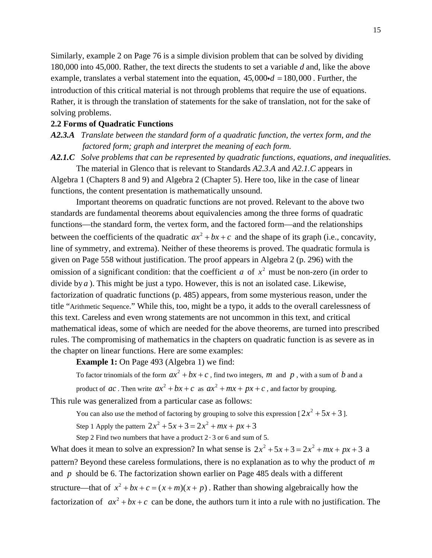Similarly, example 2 on Page 76 is a simple division prob lem that can be solved by dividing 180,000 into 45,000. Rather, the text directs the students to set a variable *d* and, like the above example, translates a verbal statement into the equation,  $45,000 \cdot d = 180,000$ . Further, the introduction of this critical material is not through problems that require the use of equations. Rather, it is through the translation of statements for the sake of translation, not for the sake of solving problems.

# **2.2 Form s of Quadratic Functions**

*A2.3.A Translate between the standard form of a quadratic function, the vertex form, and the factored form; graph and interpret the meaning of each form.* 

A2.1.C Solve problems that can be represented by quadratic functions, equations, and inequalities.

The material in Glenco that is relevant to Standards *A2.3.A* and *A2.1.C* appears in Algebr a 1 (Chapters 8 and 9) and Algebra 2 (Chapter 5). Here too, like in the case of linear functions, the content presentation is mathematically unsound.

standards are fundamental theorems about equivalencies among the three forms of quadratic Important theorems on quadratic functions are not proved. Relevant to the above two functions—the standard form, the vertex form, and the factored form—and the relationships between the coefficients of the quadratic  $ax^2 + bx + c$  and the shape of its graph (i.e., concavity, line of symmetry, and extrema). Neither of these theorems is proved. The quadratic formula is given on Page 558 without justification. The proof appears in Algebra 2 (p. 296) with the omission of a significant condition: that the coefficient *a* of  $x^2$  must be non-zero (in order to divide by *a*). This might be just a typo. However, this is not an isolated case. Likewise, factorization of quadratic functions (p. 485) appears, from some mysterious reason, under the title "Arithmetic Sequence." While this, too, might be a typo, it adds to the overall carelessness of this text. Careless and even wrong statements are not uncommon in this text, and critical mathematical ideas, some of which are needed for the abo ve theorems, are turned into prescribed rules. The compromising of mathematics in the chapters on quadratic function is as severe as in the chapter on linear functions. Here are some examples:

**Example 1:** On Page 493 (Algebra 1) we find:

To factor trinomials of the form  $ax^2 + bx + c$ , find two integers, *m* and *p*, with a sum of *b* and a product of *ac*. Then write  $ax^2 + bx + c$  as  $ax^2 + mx + px + c$ , and factor by grouping.

This rule was generalized from a particular case as follows:

You can also use the method of factoring by grouping to solve this expression  $[2x^2 + 5x + 3]$ . Step 1 Apply the pattern  $2x^2 + 5x + 3 = 2x^2 + mx + px + 3$ 

Step 2 Find two numbers that have a product  $2 \cdot 3$  or 6 and sum of 5.

What does it mean to solve an expression? In what sense is  $2x^2 + 5x + 3 = 2x^2 + mx + px + 3$  a pattern? Beyond these careless formulations, there is no explanation as to why the product of m and *p* should be 6. The factorization shown earlier on Page 485 deals with a different structure—that of  $x^2 + bx + c = (x + m)(x + p)$ . Rather than showing algebraically how the factorization of  $ax^2 + bx + c$  can be done, the authors turn it into a rule with no justification. The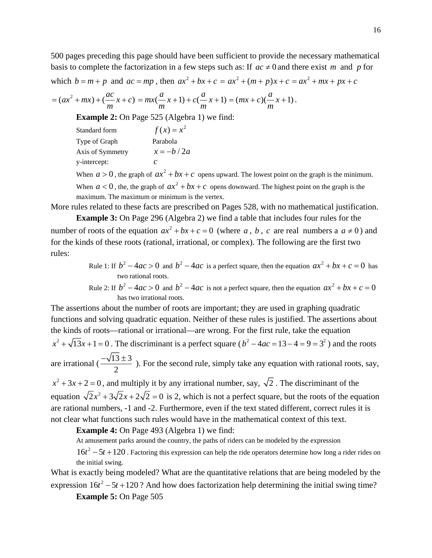500 pages preceding this page should have been sufficient to provide the necessary mathematical basis to complete the factorization in a few steps such as: If  $ac \neq 0$  and there exist *m* and *p* for which  $b = m + p$  and  $ac = mp$ , then  $ax^2 + bx + c = ax^2 + (m + p)x + c = ax^2 + mx + px + c$ 

$$
= (ax2 + mx) + (\frac{ac}{m}x + c) = mx(\frac{a}{m}x + 1) + c(\frac{a}{m}x + 1) = (mx + c)(\frac{a}{m}x + 1).
$$

**Example 2:** On Page 525 (Algebra 1) we find:

Standard form  $f(x) = x^2$ Type of Graph Parabola Axis of Symmetry  $x = -b/2a$ y-intercept: *c*

When  $a > 0$ , the graph of  $ax^2 + bx + c$  opens upward. The lowest point on the graph is the minimum.

When  $a < 0$ , the, the graph of  $ax^2 + bx + c$  opens downward. The highest point on the graph is the maximum. The maximum or minimum is the vertex.

More rules related to these facts are prescribed on Pages 528, with no mathematical justification. number of roots of the equation  $ax^2 + bx + c = 0$  (where a, b, c are real numbers a  $a \ne 0$ ) and **Example 3:** On Page 296 (Algebra 2) we find a table that includes four rules for the for the kinds of these roots (rational, irrational, or complex). The following are the first two rules:

Rule 1: If 
$$
b^2 - 4ac > 0
$$
 and  $b^2 - 4ac$  is a perfect square, then the equation  $ax^2 + bx + c = 0$  has two rational roots.

Rule 2: If 
$$
b^2 - 4ac > 0
$$
 and  $b^2 - 4ac$  is not a perfect square, then the equation  $ax^2 + bx + c = 0$  has two irrational roots.

The assertions about the number of roots are important; they are used in graphing quadratic functions and solving quadratic equation. Neither of these rules is justified. The assertions about the kinds of roots—rational or irrational—are wrong. For the first rule, take the equation  $x^2 + \sqrt{13}x + 1 = 0$ . The discriminant is a perfect square  $(b^2 - 4ac = 13 - 4 = 9 = 3^2)$  and the roots

are irrational ( $\frac{-\sqrt{13 \pm 3}}{2}$ 2  $\frac{-\sqrt{13} \pm 3}{\sqrt{13} \pm 3}$ ). For the second rule, simply take any equation with rational roots, say,

 $x^2 + 3x + 2 = 0$ , and multiply it by any irrational number, say,  $\sqrt{2}$ . The discriminant of the equation  $\sqrt{2x^2 + 3\sqrt{2x + 2\sqrt{2}}} = 0$  is 2, which is not a perfect square, but the roots of the equation are rational numbers, -1 and -2. Furthermore, even if the text stated different, correct rules it is not clear what functions such rules would have in the mathematical context of this text.

**Example 4:** On Page 493 (Algebra 1) we find:

At amusement parks around the country, the paths of riders can be modeled by the expression

 $16t^2 - 5t + 120$ . Factoring this expression can help the ride operators determine how long a rider rides on the initial swing.

What is exactly being modeled? What are the quantitative relations that are being modeled by the expression  $16t^2 - 5t + 120$ ? And how does factorization help determining the initial swing time?

**Example 5: On Page 505**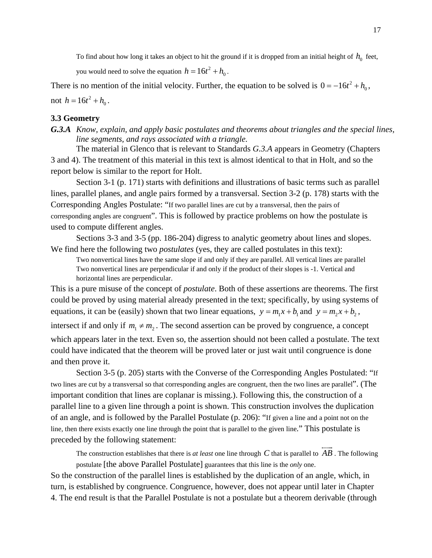To find about how long it takes an object to hit the ground if it is dropped from an initial height of  $h_0$  feet,

you would need to solve the equation  $h = 16t^2 + h_0$ .

There is no mention of the initial velocity. Further, the equation to be solved is  $0 = -16t^2 + h_0$ , not  $h = 16t^2 + h_0$ .

# **3.3 Geometry**

*G.3.A Know, explain, and apply basic postulates and theorems about triangles and the special lines, line segments, and rays associated with a triangle*.

The material in Glenco that is relevant to Standards G.3.A appears in Geometry (Chapters 3 and 4 ). The treatment of this material in this text is almost identical to that in Holt, and so the report below is similar to the report for Holt.

Section 3-1 (p. 171) starts with definitions and illustrations of basic terms such as parallel lines, p arallel planes, and angle pairs formed by a transversal. Section 3-2 (p. 178) starts with the corresponding angles are congruent". This is followed by practice problems on how the postulate is Corresponding Angles Postulate: "If two parallel lines are cut by a transversal, then the pairs of used to compute different angles.

Sections 3-3 and 3-5 (pp. 186-204) digress to analytic geometry about lines and slopes. We find here the following two *postulates* (yes, they are called postulates in this text):

Two nonvertical lines have the same slope if and only if they are parallel. All vertical lines are parallel Two nonvertical lines are perpendicular if and only if the product of their slopes is -1. Vertical and horizontal lines are perpendicular.

This is a pure misuse of the concept of *postulate*. Both of these assertions are theorems. The first could be proved by using material already presented in the text; specifically, by using systems of equations, it can be (easily) shown that two linear equations,  $y = m_1 x + b_1$  and  $y = m_2 x + b_2$ ,

intersect if and only if  $m_1 \neq m_2$ . The second assertion can be proved by congruence, a concept which appears later in the text. Even so, the assertion should not been called a postulate. The te xt could have indicated that the theorem will be proved later or just wait until congruence is done and then prove it.

Section 3-5 (p. 205) starts with the Converse of the Corresponding Angles Postulated: "If two lines are cut by a transversal so that corresponding angles are congruent, then the two lines are parallel". (The parallel line to a given line through a point is shown. This construction involves the duplication important condition that lines are coplanar is missing.). Following this, the construction of a of an angle, and is followed by the Parallel Postulate (p. 206): "If given a line and a point not on the line, then there exists exactly one line through the point that is parallel to the given line." This postulate is preceded by the following statement:  $\longleftrightarrow$ 

The construction establishes that there is *at least* one line through  $C$  that is parallel to  $AB$ . The following postulate [the above Parallel Postulate] guarantees that this line is the *only* one.

So the construction of the parallel lines is established by the duplication of an angle, which, in turn, is established by congruence. Congruence, however, does not appear until later in Chapter 4. The end result is that the Parallel Postulate is not a postulate but a theorem derivable (through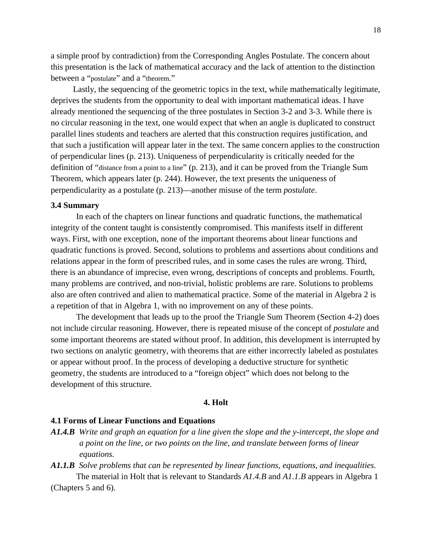a simple proof by contradiction) from the Corresponding Angles Postulate. The concern about this presentation is the lack of mathematical accuracy and the lack of attention to the distinction between a "postulate" and a "theorem."

Lastly, the sequencing of the geometric topics in the text, while mathematically legitimate, depriv es the students from the opportunity to deal with important mathematical ideas. I have already mentioned the sequencing of the three postulates in Section 3-2 and 3-3. While there is that such a justification will appear later in the text. The same concern applies to the construction definition of "distance from a point to a line" (p. 213), and it can be proved from the Triangle Sum no circular reasoning in the text, one would expect that when an angle is duplicated to construct parallel lines students and teachers are alerted that this construction requires justification, and of perpendicular lines (p. 213). Uniqueness of perpendicularity is critically needed for the Theorem, which appears later (p. 244). However, the text presents the uniqueness of perpendicularity as a postulate (p. 213)—another misuse of the term *postulate*.

### **3.4 Summary**

In each of the chapters on linear functions and quadratic functions, the mathematical integrit y of the content taught is consistently compromised. This manifests itself in different quadratic functions is proved. Second, solutions to problems and assertions about conditions and there is an abundance of imprecise, even wrong, descriptions of concepts and problems. Fourth, ways. First, with one exception, none of the important theorems about linear functions and relations appear in the form of prescribed rules, and in some cases the rules are wrong. Third, many problems are contrived, and non-trivial, holistic problems are rare. Solutions to problems also are often contrived and alien to mathematical practice. Some of the material in Algebra 2 is a repetition of that in Algebra 1, with no improvement on any of these points.

The development that leads up to the proof the Triangle Sum Theorem (Section 4-2) does not incl ude circular reasoning. However, there is repeated misuse of the concept of *postulate* and some important theorems are stated without proof. In addition, this development is interrupted by two sections on analytic geometry, with theorems that are either incorrectly labeled as postulates or appear without proof. In the process of developing a deductive structure for synthetic geometry, the students are introduced to a "foreign object" which does not belong to the development of this structure.

### **4. Holt**

#### **4.1 Forms of Linear Functions and Equations**

- A1.4.B Write and graph an equation for a line given the slope and the y-intercept, the slope and *a point on the line, or two points on the line, and translate between forms of linear equations.*
- A1.1.B Solve problems that can be represented by linear functions, equations, and inequalities. (Chapters 5 and 6). The material in Holt that is relevant to Standards *A1.4.B* and *A1.1.B* appears in Algebra 1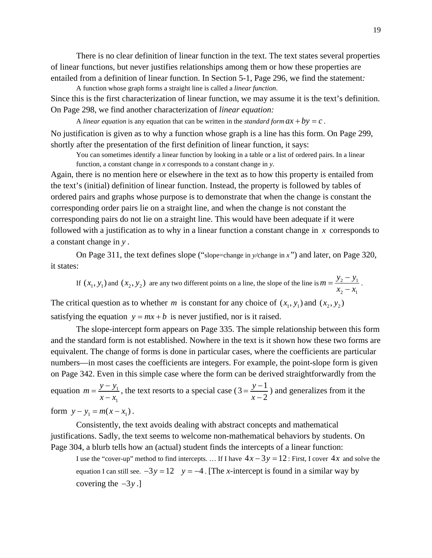There is no clear definition of linear function in the text. The text states several properties of linear functions, but never justifies relationships among them or how these properties are entailed from a definition of linear function. In Section 5-1, Page 296, we find the statement*:* 

A function whose graph forms a straight line is called a *linear function*. Since this is the first characterization of linear function, we may assume it is the text's definition. On Page 298, we find another characterization of *linear equation:*

A *linear equation* is any equation that can be written in the *standard form*  $ax + by = c$ . No justification is given as to why a function whose graph is a line has this form. On Page 299, shortly after the presentation of the first definition of linear function, it says:

You can sometimes identify a linear function by looking in a table or a list of ordered pairs. In a linear function, a constant change in *x* corresponds to a constant change in *y*.

Again, there is no mention here or elsewhere in the text as to how this property is entailed from the text's (initial) definition of linear function. Instead, the property is followed by tables of ordered pairs and graphs whose purpose is to demonstrate that when the change is constant the corresponding order pairs lie on a straight line, and when the change is not constant the corresponding pairs do not lie on a straight line. This would have been adequate if it were followed with a justification as to why in a linear function a constant change in *x* corresponds to a constant change in *y* .

On Page 311, the text defines slope ("slope=change in *y/*change in *x"*) and later, on Page 320, it states:

If  $(x_1, y_1)$  and  $(x_2, y_2)$  are any two different points on a line, the slope of the line is  $m = \frac{y_2 - y_1}{x_2 - x_1}$ 2  $\lambda_1$  $m = \frac{y_2 - y}{ }$  $=\frac{y_2-y_1}{x_2-x_1}$ .

The critical question as to whether *m* is constant for any choice of  $(x_1, y_1)$  and  $(x_2, y_2)$ satisfying the equation  $y = mx + b$  is never justified, nor is it raised.

The slope-intercept form appears on Page 335. The simple relationship between this form and the standard form is not established. Nowhere in the text is it shown how these two forms are equivalent. The change of forms is done in particular cases, where the coefficients are particular numbers—in most cases the coefficients are integers. For example, the point-slope form is given on Page 342. Even in this simple case where the form can be derived straightforwardly from the

equation  $m = \frac{y - y_1}{x}$ 1  $m = \frac{y - y}{y}$  $=\frac{y-y_1}{x-x_1}$ , the text resorts to a special case (3 =  $\frac{y-1}{x-2}$ *y*  $=\frac{y-1}{x-2}$ ) and generalizes from it the form  $y - y_1 = m(x - x_1)$ .

Consistently, the text avoids dealing with abstract concepts and mathematical justifications. Sadly, the text seems to welcome non-mathematical behaviors by students. On Page 304, a blurb tells how an (actual) student finds the intercepts of a linear function:

I use the "cover-up" method to find intercepts. ... If I have  $4x-3y = 12$ : First, I cover  $4x$  and solve the equation I can still see.  $-3y = 12$  y =  $-4$ . [The *x*-intercept is found in a similar way by covering the −3*y* .]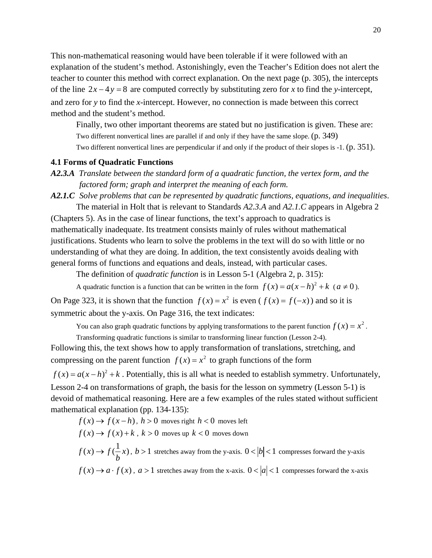This non-mathematical reasoning would have been tolerable if it were followed with an explanation of the student's method. Astonishingly, even the Teacher's Edition does not alert the teacher to counter this method with correct explanation. On the next page (p. 305), the intercepts of the line  $2x - 4y = 8$  are computed correctly by substituting zero for *x* to find the *y*-intercept, and zero for *y* to find the *x*-intercept. However, no connection is made between this correct method and the student's method.

Finally, two other important theorems are stated but no justification is given. These are: Two different nonvertical lines are parallel if and only if they have the same slope. (p. 349) Two different nonvertical lines are perpendicular if and only if the product of their slopes is -1. (p. 351).

# **4.1 Forms of Quadratic Functions**

*A2.3.A Translate between the standard form of a quadratic function, the vertex form, and the factored form; graph and interpret the meaning of each form.* 

*A2.1.C Solve problems that can be represented by quadratic functions, equations, and inequalities*. The material in Holt that is relevant to Standards *A2.3.A* and *A2.1.C* appears in Algebra 2

(Chapters 5). As in the case of linear functions, the text's approach to quadratics is mathematically inadequate. Its treatment consists mainly of rules without mathematical justifications. Students who learn to solve the problems in the text will do so with little or no understanding of what they are doing. In addition, the text consistently avoids dealing with general forms of functions and equations and deals, instead, with particular cases.

The definition of *quadratic function* is in Lesson 5-1 (Algebra 2, p. 315):

A quadratic function is a function that can be written in the form  $f(x) = a(x - h)^2 + k$  ( $a \ne 0$ ).

On Page 323, it is shown that the function  $f(x) = x^2$  is even  $(f(x) = f(-x))$  and so it is symmetric about the y-axis. On Page 316, the text indicates:

You can also graph quadratic functions by applying transformations to the parent function  $f(x) = x^2$ .

Transforming quadratic functions is similar to transforming linear function (Lesson 2-4). Following this, the text shows how to apply transformation of translations, stretching, and compressing on the parent function  $f(x) = x^2$  to graph functions of the form

 $f(x) = a(x-h)^2 + k$ . Potentially, this is all what is needed to establish symmetry. Unfortunately, Lesson 2-4 on transformations of graph, the basis for the lesson on symmetry (Lesson 5-1) is devoid of mathematical reasoning. Here are a few examples of the rules stated without sufficien t mathematical explanation (pp. 134-135):

$$
f(x) \rightarrow f(x-h), h > 0
$$
 moves right  $h < 0$  moves left  
\n
$$
f(x) \rightarrow f(x) + k, k > 0
$$
 moves up  $k < 0$  moves down  
\n
$$
f(x) \rightarrow f(\frac{1}{b}x), b > 1
$$
 stretches away from the y-axis.  $0 < |b| < 1$  compresses forward the y-axis  
\n
$$
f(x) \rightarrow a \cdot f(x), a > 1
$$
 stretches away from the x-axis.  $0 < |a| < 1$  compresses forward the x-axis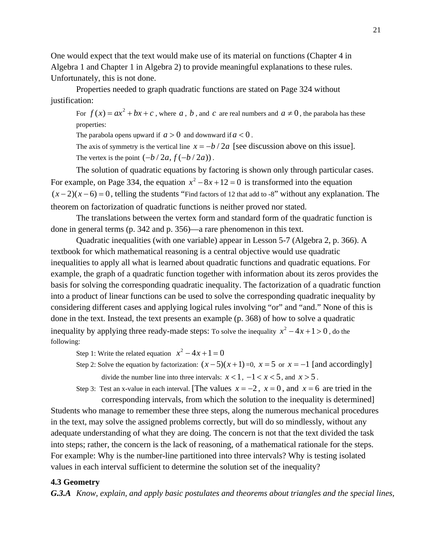One would expect that the text would make use of its material on functions (Chapter 4 in Algebra 1 and Chapter 1 in Algebra 2) to provide meaningful explanations to these rules. Unfortunately, this is not done.

Properties needed to graph quadratic functions are stated on Page 324 without justification:

For  $f(x) = ax^2 + bx + c$ , where *a*, *b*, and *c* are real numbers and  $a \ne 0$ , the parabola has these properties:

The parabola opens upward if  $a > 0$  and downward if  $a < 0$ .

The axis of symmetry is the vertical line  $x = -b/2a$  [see discussion above on this issue]. The vertex is the point  $(-b/2a, f(-b/2a))$ .

For example, on Page 334, the equation  $x^2 - 8x + 12 = 0$  is transformed into the equation The solution of quadratic equations by factoring is shown only through particular cases.  $(x-2)(x-6) = 0$ , telling the students "Find factors of 12 that add to -8" without any explanation. The theorem on factorization of quadratic functions is neither proved nor stated.

The translations between the vertex form and standard form of the quadratic function is done in general terms (p. 342 and p. 356)—a rare phenomenon in this text.

inequality by applying three ready-made steps: To solve the inequality  $x^2 - 4x + 1 > 0$ , do the Quadratic inequalities (with one variable) appear in Lesson 5-7 (Algebra 2, p. 366). A textbook for which mathematical reasoning is a central objective would use quadratic inequalities to apply all what is learned about quadratic functions and quadratic equations. For example, the graph of a quadratic function together with information about its zeros provides the basis for solving the corresponding quadratic inequality. The factorization of a quadratic function into a product of linear functions can be used to solve the corresponding quadratic inequality by considering different cases and applying logical rules involving "or" and "and." None of this is done in the text. Instead, the text presents an example (p. 368) of how to solve a quadratic following:

Step 1: Write the related equation  $x^2 - 4x + 1 = 0$ 

Step 2: Solve the equation by factorization:  $(x-5)(x+1) = 0$ ,  $x = 5$  or  $x = -1$  [and accordingly] divide the number line into three intervals:  $x < 1$ ,  $-1 < x < 5$ , and  $x > 5$ .

Step 3: Test an x-value in each interval. [The values  $x = -2$ ,  $x = 0$ , and  $x = 6$  are tried in the corresponding intervals, from which the solution to the inequality is determined]

Students who manage to remember these three steps, along the numerous mechanical procedures in the text, may solve the assigned problems correctly, but will do so mindlessly, without any adequate understanding of what they are doing. The concern is not that the text divided the task into steps; rather, the concern is the lack of reasoning, of a mathematical rationale for the steps. For example: Why is the number-line partitioned into three intervals? Why is testing isolated values in each interval sufficient to determine the solution set of the inequality?

# **4.3 Geometry**

*G.3.A Know, explain, and apply basic postulates and theorems about triangles and the special lines,*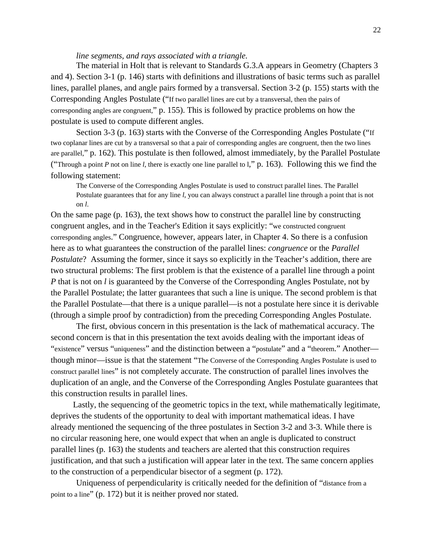*line segments, and rays associated with a triangle*.

The material in Holt that is relevant to Standards G.3.A appears in Geometry (Chapters 3 and 4). Section 3-1 (p. 146) starts with definitions and illustrations of basic terms such as parallel lines, parallel planes, and angle pairs formed by a transversal. Section 3-2 (p. 155) starts with the Corresponding Angles Postulate ("If two parallel lines are cut by a transversal, then the pairs of corresponding angles are congruent," p. 155). This is followed by practice problems on how the postulate is used to compute different angles.

Section 3-3 (p. 163) starts with the Converse of the Corresponding Angles Postulate ("If two coplanar lines are cut by a transversal so that a pair of corresponding angles are congruent, then the two lines are parallel," p. 162). This postulate is then followed, almost immediately, by the Parallel Postulate ("Through a point *P* not on line *l*, there is exactly one line parallel to l," p. 163). Following this we find the following statement:

The Converse of the Corresponding Angles Postulate is used to construct parallel lines. The Parallel Postulate guarantees that for any line *l*, you can always construct a parallel line through a point that is not on *l*.

On the same page (p. 163), the text shows how to construct the parallel line by constructing congruent angles, and in the Teacher's Edition it says explicitly: "we constructed congruent corresponding angles." Congruence, however, appears later, in Chapter 4. So there is a confusion here as to what guarantees the construction of the parallel lines: *congruence* or the *Parallel Postulate*? Assuming the former, since it says so explicitly in the Teacher's addition, there are two structural problems: The first problem is that the existence of a parallel line through a point *P* that is not on *l* is guaranteed by the Converse of the Corresponding Angles Postulate, not by the Parallel Postulate; the latter guarantees that such a line is unique. The second problem is that the Parallel Postulate—that there is a unique parallel—is not a postulate here since it is derivable (through a simple proof by contradiction) from the preceding Corresponding Angles Postulate.

The first, obvious concern in this presentation is the lack of mathematical accuracy. The second concern is that in this presentation the text avoids dealing with the important ideas of "existence" versus "uniqueness" and the distinction between a "postulate" and a "theorem." Another though minor—issue is that the statement "The Converse of the Corresponding Angles Postulate is used to construct parallel lines" is not completely accurate. The construction of parallel lines involves the duplication of an angle, and the Converse of the Corresponding Angles Postulate guarantees that this construction results in parallel lines.

Lastly, the sequencing of the geometric topics in the text, while mathematically legitimate, deprives the students of the opportunity to deal with important mathematical ideas. I have already mentioned the sequencing of the three postulates in Section 3-2 and 3-3. While there is no circular reasoning here, one would expect that when an angle is duplicated to construct parallel lines (p. 163) the students and teachers are alerted that this construction requires justification, and that such a justification will appear later in the text. The same concern applies to the construction of a perpendicular bisector of a segment (p. 172).

Uniqueness of perpendicularity is critically needed for the definition of "distance from a point to a line" (p. 172) but it is neither proved nor stated.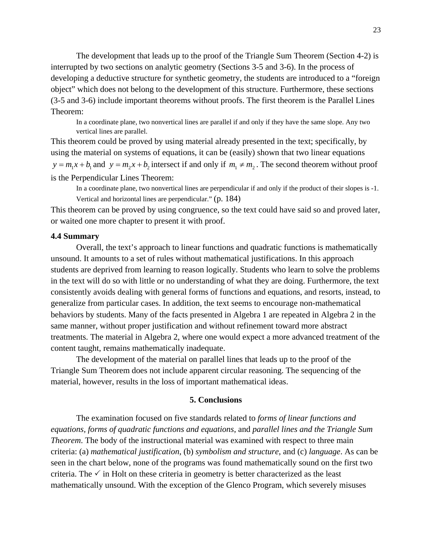The development that leads up to the proof of the Triangle Sum Theorem (Section 4-2) is interrupted by two sections on analytic geometry (Sections 3-5 and 3-6). In the process of developing a deductive structure for synthetic geometry, the students are introduced to a "foreign object" which does not belong to the development of this structure. Furthermore, these sections (3-5 and 3-6) include important theorems without proofs. The first theorem is the Parallel Lines Theorem:

In a coordinate plane, two nonvertical lines are parallel if and only if they have the same slope. Any two vertical lines are parallel.

This theorem could be proved by using material already presented in the text; specifically, by using the material on systems of equations, it can be (easily) shown that two linear equations  $y = m_1 x + b_1$  and  $y = m_2 x + b_2$  intersect if and only if  $m_1 \neq m_2$ . The second theorem without proof is the Perpendicular Lines Theorem:

In a coordinate plane, two nonvertical lines are perpendicular if and only if the product of their slopes is -1. Vertical and horizontal lines are perpendicular." (p. 184)

This theorem can be proved by using congruence, so the text could have said so and proved later, or waited one more chapter to present it with proof.

# **4.4 Summary**

Overall, the text's approach to linear functions and quadratic functions is mathematically unsound. It amounts to a set of rules without mathematical justifications. In this approach students are deprived from learning to reason logically. Students who learn to solve the problems in the text will do so with little or no understanding of what they are doing. Furthermore, the text consistently avoids dealing with general forms of functions and equations, and resorts, instead, to generalize from particular cases. In addition, the text seems to encourage non-mathematical behaviors by students. Many of the facts presented in Algebra 1 are repeated in Algebra 2 in the same manner, without proper justification and without refinement toward more abstract treatments. The material in Algebra 2, where one would expect a more advanced treatment of the content taught, remains mathematically inadequate.

The development of the material on parallel lines that leads up to the proof of the Triangle Sum Theorem does not include apparent circular reasoning. The sequencing of the material, however, results in the loss of important mathematical ideas.

#### **5. Conclusions**

The examination focused on five standards related to *forms of linear functions and equations, forms of quadratic functions and equations*, and *parallel lines and the Triangle Sum Theorem*. The body of the instructional material was examined with respect to three main criteria: (a) *mathematical justification*, (b) *symbolism and structure*, and (c) *language*. As can be seen in the chart below, none of the programs was found mathematically sound on the first two criteria. The  $\checkmark$  in Holt on these criteria in geometry is better characterized as the least mathematically unsound. With the exception of the Glenco Program, which severely misuses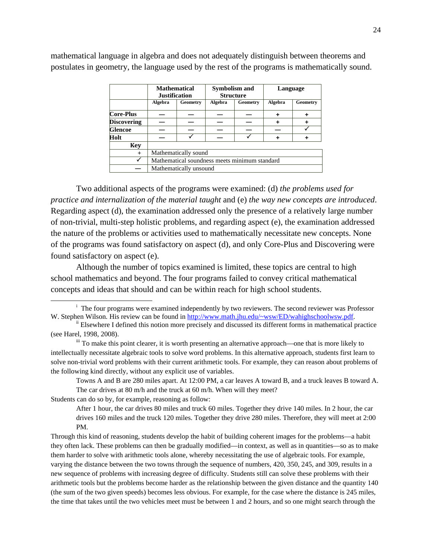|                    | <b>Mathematical</b><br><b>Justification</b>   |          | <b>Symbolism and</b><br><b>Structure</b> |          | Language |          |
|--------------------|-----------------------------------------------|----------|------------------------------------------|----------|----------|----------|
|                    | Algebra                                       | Geometry | Algebra                                  | Geometry | Algebra  | Geometry |
| Core-Plus          |                                               |          |                                          |          |          |          |
| <b>Discovering</b> |                                               |          |                                          |          |          |          |
| <b>Glencoe</b>     |                                               |          |                                          |          |          |          |
| Holt               |                                               |          |                                          |          |          |          |
| <b>Kev</b>         |                                               |          |                                          |          |          |          |
| $^{+}$             | Mathematically sound                          |          |                                          |          |          |          |
|                    | Mathematical soundness meets minimum standard |          |                                          |          |          |          |
|                    | Mathematically unsound                        |          |                                          |          |          |          |

mathematical language in algebra and does not adequately distinguish between theorems and postulates in geometry, the language used by the rest of the programs is mathematically sound.

<span id="page-23-1"></span>Two additional aspects of the programs were examined: (d) *the problems used for practice and internalization of the material taught and (e) the way new concepts are introduced.* Regarding aspect (d), the examination addressed only the presence of a relatively large number of non-trivial, multi-step holistic problems, and regarding aspect (e), the examination addressed the nature of the problems or activities used to mathematically necessitate new concepts. None of the programs was found satisfactory on aspect (d), and only Core-Plus and Discovering were found satisfactory on aspect (e).

<span id="page-23-2"></span>Although the number of topics examined is limited, these topics are central to high school mathematics and beyond. The four programs failed to convey critical mathematical concepts and ideas that should and can be within reach for high school students.

The car drives at 80 m/h and the truck at 60 m/h. When will they meet? Towns A and B are 280 miles apart. At 12:00 PM, a car leaves A toward B, and a truck leaves B toward A.

Students can do so by, for example, reasoning as follow:

After 1 hour, the car drives 80 miles and truck 60 miles. Together they drive 140 miles. In 2 hour, the car drives 160 miles and the truck 120 miles. Together they drive 280 miles. Therefore, they will meet at 2:00 PM.

they ofte n lack. These problems can then be gradually modified—in context, as well as in quantities—so as to make them harder to solve with arithmetic tools alone, whereby necessitating the use of algebraic tools. For example, varying t he distance between the two towns through the sequence of numbers, 420, 350, 245, and 309, results in a new seq uence of problems with increasing degree of difficulty. Students still can solve these problems with their arithmet ic tools but the problems become harder as the relationship between the given distance and the quantity 140 (the sum of the two given speeds) becomes less obvious. For example, for the case where the distance is 245 miles, the time that takes until the two vehicles meet must be between 1 and 2 hours, and so one might search through the Through this kind of reasoning, students develop the habit of building coherent images for the problems—a habit

<span id="page-23-0"></span> $\overline{\phantom{a}}$ <sup>i</sup> The four programs were examined independently by two reviewers. The second reviewer was Professor W. Stephen Wilson. His review can be found in http://www.math.jhu.edu/~wsw/ED/wahighschoolwsw.pdf.

ii Elsewhere I defined this notion more precisely and discussed its different forms in mathematical practice (see Harel, 1998, 2008).<br>iii To make this point clearer, it is worth presenting an alternative approach—one that is more likely to

intellectually necessitate algebraic tools to solve word problems. In this alternative approach, students first learn to solve no n-trivial word problems with their current arithmetic tools. For example, they can reason about problems of the following kind directly, without any explicit use of variables.